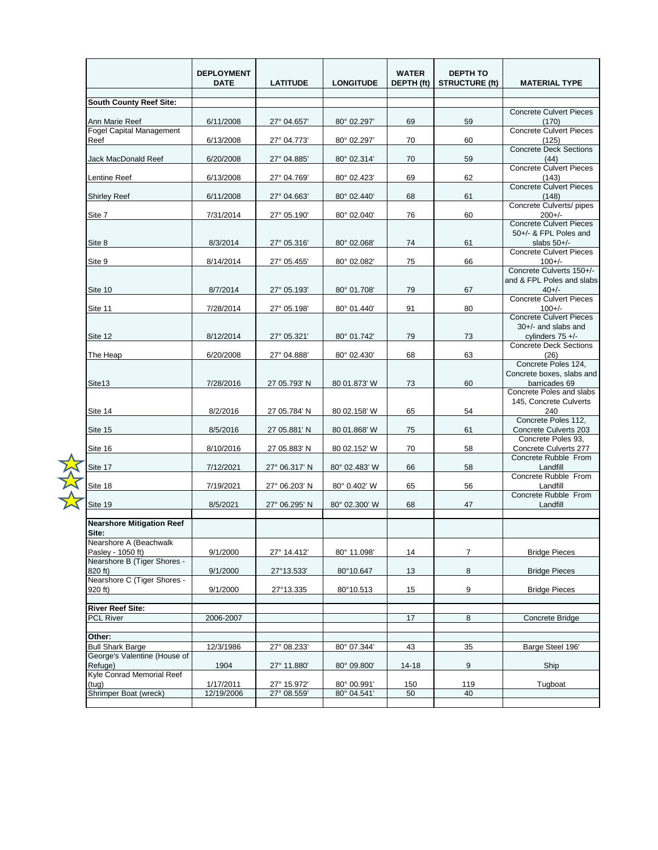|                                                                            | <b>DEPLOYMENT</b><br><b>DATE</b> | <b>LATITUDE</b>            | <b>LONGITUDE</b>           | <b>WATER</b><br>DEPTH (ft) | <b>DEPTH TO</b><br><b>STRUCTURE (ft)</b> | <b>MATERIAL TYPE</b>                                                        |
|----------------------------------------------------------------------------|----------------------------------|----------------------------|----------------------------|----------------------------|------------------------------------------|-----------------------------------------------------------------------------|
| <b>South County Reef Site:</b>                                             |                                  |                            |                            |                            |                                          |                                                                             |
| Ann Marie Reef                                                             | 6/11/2008                        | 27° 04.657'                | 80° 02.297'                | 69                         | 59                                       | <b>Concrete Culvert Pieces</b><br>(170)                                     |
| <b>Fogel Capital Management</b><br>Reef                                    | 6/13/2008                        | 27° 04.773'                | 80° 02.297'                | 70                         | 60                                       | <b>Concrete Culvert Pieces</b><br>(125)                                     |
| Jack MacDonald Reef                                                        | 6/20/2008                        | 27° 04.885'                | 80° 02.314'                | 70                         | 59                                       | <b>Concrete Deck Sections</b><br>(44)                                       |
| Lentine Reef                                                               | 6/13/2008                        | 27° 04.769'                | 80° 02.423'                | 69                         | 62                                       | <b>Concrete Culvert Pieces</b><br>(143)<br><b>Concrete Culvert Pieces</b>   |
| <b>Shirley Reef</b>                                                        | 6/11/2008                        | 27° 04.663'                | 80° 02.440'                | 68                         | 61                                       | (148)<br>Concrete Culverts/ pipes                                           |
| Site 7                                                                     | 7/31/2014                        | 27° 05.190'                | 80° 02.040'                | 76                         | 60                                       | $200+/-$<br><b>Concrete Culvert Pieces</b>                                  |
| Site 8                                                                     | 8/3/2014                         | 27° 05.316'                | 80° 02.068'                | 74                         | 61                                       | 50+/- & FPL Poles and<br>slabs $50+/-$                                      |
| Site 9                                                                     | 8/14/2014                        | 27° 05.455'                | 80° 02.082'                | 75                         | 66                                       | <b>Concrete Culvert Pieces</b><br>$100+/-$<br>Concrete Culverts 150+/-      |
| Site 10                                                                    | 8/7/2014                         | 27° 05.193'                | 80° 01.708'                | 79                         | 67                                       | and & FPL Poles and slabs<br>$40+/-$                                        |
| Site 11                                                                    | 7/28/2014                        | 27° 05.198'                | 80° 01.440'                | 91                         | 80                                       | <b>Concrete Culvert Pieces</b><br>$100+/-$                                  |
| Site 12                                                                    | 8/12/2014                        | 27° 05.321'                | 80° 01.742'                | 79                         | 73                                       | <b>Concrete Culvert Pieces</b><br>30+/- and slabs and<br>cylinders $75 +/-$ |
| The Heap                                                                   | 6/20/2008                        | 27° 04.888'                | 80° 02.430'                | 68                         | 63                                       | <b>Concrete Deck Sections</b><br>(26)                                       |
| Site13                                                                     | 7/28/2016                        | 27 05.793' N               | 80 01.873' W               | 73                         | 60                                       | Concrete Poles 124,<br>Concrete boxes, slabs and<br>barricades 69           |
| Site 14                                                                    | 8/2/2016                         | 27 05.784' N               | 80 02.158' W               | 65                         | 54                                       | Concrete Poles and slabs<br>145, Concrete Culverts<br>240                   |
| Site 15                                                                    | 8/5/2016                         | 27 05.881' N               | 80 01.868' W               | 75                         | 61                                       | Concrete Poles 112,<br>Concrete Culverts 203                                |
| Site 16                                                                    | 8/10/2016                        | 27 05.883' N               | 80 02.152' W               | 70                         | 58                                       | Concrete Poles 93,<br>Concrete Culverts 277                                 |
| Site 17                                                                    | 7/12/2021                        | 27° 06.317' N              | 80° 02.483' W              | 66                         | 58                                       | Concrete Rubble From<br>Landfill                                            |
| Site 18                                                                    | 7/19/2021                        | 27° 06.203' N              | 80° 0.402' W               | 65                         | 56                                       | Concrete Rubble From<br>Landfill                                            |
| Site 19                                                                    | 8/5/2021                         | 27° 06.295' N              | 80° 02.300' W              | 68                         | 47                                       | Concrete Rubble From<br>Landfill                                            |
| <b>Nearshore Mitigation Reef</b><br>Site:                                  |                                  |                            |                            |                            |                                          |                                                                             |
| Nearshore A (Beachwalk<br>Pasley - 1050 ft)<br>Nearshore B (Tiger Shores - | 9/1/2000                         | 27° 14.412'                | 80° 11.098'                | 14                         | $\overline{7}$                           | <b>Bridge Pieces</b>                                                        |
| 820 ft)<br>Nearshore C (Tiger Shores -                                     | 9/1/2000                         | 27°13.533'                 | 80°10.647                  | 13                         | 8                                        | <b>Bridge Pieces</b>                                                        |
| 920 ft                                                                     | 9/1/2000                         | 27°13.335                  | 80°10.513                  | 15                         | 9                                        | <b>Bridge Pieces</b>                                                        |
| <b>River Reef Site:</b>                                                    |                                  |                            |                            |                            |                                          |                                                                             |
| PCL River                                                                  | 2006-2007                        |                            |                            | 17                         | 8                                        | Concrete Bridge                                                             |
| Other:                                                                     |                                  |                            |                            |                            |                                          |                                                                             |
| <b>Bull Shark Barge</b><br>George's Valentine (House of                    | 12/3/1986                        | 27° 08.233'                | 80° 07.344'                | 43                         | 35                                       | Barge Steel 196'                                                            |
| Refuge)<br>Kyle Conrad Memorial Reef                                       | 1904                             | 27° 11.880'                | 80° 09.800'                | 14-18                      | 9                                        | Ship                                                                        |
| (tug)<br>Shrimper Boat (wreck)                                             | 1/17/2011<br>12/19/2006          | 27° 15.972'<br>27° 08.559' | 80° 00.991'<br>80° 04.541' | 150<br>50                  | 119<br>40                                | Tugboat                                                                     |
|                                                                            |                                  |                            |                            |                            |                                          |                                                                             |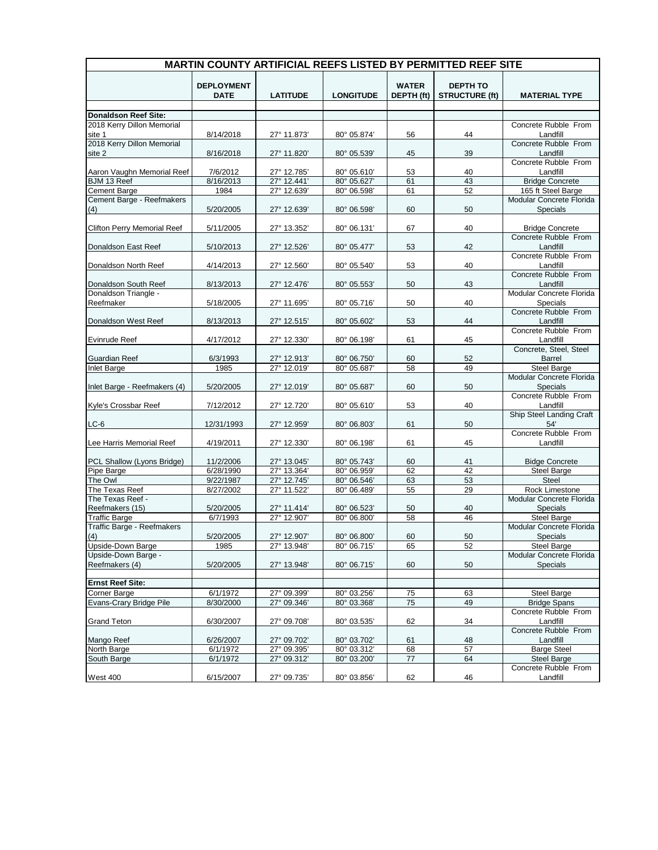| <b>MARTIN COUNTY ARTIFICIAL REEFS LISTED BY PERMITTED REEF SITE</b> |                                  |                            |                            |                            |                                          |                                                |  |
|---------------------------------------------------------------------|----------------------------------|----------------------------|----------------------------|----------------------------|------------------------------------------|------------------------------------------------|--|
|                                                                     | <b>DEPLOYMENT</b><br><b>DATE</b> | <b>LATITUDE</b>            | <b>LONGITUDE</b>           | <b>WATER</b><br>DEPTH (ft) | <b>DEPTH TO</b><br><b>STRUCTURE (ft)</b> | <b>MATERIAL TYPE</b>                           |  |
| <b>Donaldson Reef Site:</b>                                         |                                  |                            |                            |                            |                                          |                                                |  |
| 2018 Kerry Dillon Memorial                                          |                                  |                            |                            |                            |                                          | Concrete Rubble From                           |  |
| site 1                                                              | 8/14/2018                        | 27° 11.873'                | 80° 05.874'                | 56                         | 44                                       | Landfill                                       |  |
| 2018 Kerry Dillon Memorial<br>site 2                                | 8/16/2018                        | 27° 11.820'                | 80° 05.539'                | 45                         | 39                                       | Concrete Rubble From<br>Landfill               |  |
| Aaron Vaughn Memorial Reef                                          |                                  |                            |                            |                            |                                          | Concrete Rubble From                           |  |
|                                                                     | 7/6/2012<br>8/16/2013            | 27° 12.785'<br>27° 12.441' | 80° 05.610'<br>80° 05.627' | 53<br>61                   | 40<br>43                                 | Landfill                                       |  |
| BJM 13 Reef<br>Cement Barge                                         | 1984                             | 27° 12.639'                | 80° 06.598'                | 61                         | 52                                       | <b>Bridge Concrete</b><br>165 ft Steel Barge   |  |
| Cement Barge - Reefmakers                                           |                                  |                            |                            |                            |                                          | Modular Concrete Florida                       |  |
| (4)                                                                 | 5/20/2005                        | 27° 12.639'                | 80° 06.598'                | 60                         | 50                                       | Specials                                       |  |
| <b>Clifton Perry Memorial Reef</b>                                  | 5/11/2005                        | 27° 13.352'                | 80° 06.131'                | 67                         | 40                                       | <b>Bridge Concrete</b>                         |  |
|                                                                     |                                  |                            |                            |                            |                                          | Concrete Rubble From                           |  |
| Donaldson East Reef                                                 | 5/10/2013                        | 27° 12.526'                | 80° 05.477'                | 53                         | 42                                       | Landfill<br>Concrete Rubble From               |  |
| Donaldson North Reef                                                | 4/14/2013                        | 27° 12.560'                | 80° 05.540'                | 53                         | 40                                       | Landfill                                       |  |
| Donaldson South Reef                                                | 8/13/2013                        | 27° 12.476'                | 80° 05.553'                | 50                         | 43                                       | Concrete Rubble From<br>Landfill               |  |
| Donaldson Triangle -                                                |                                  |                            |                            |                            |                                          | Modular Concrete Florida                       |  |
| Reefmaker                                                           | 5/18/2005                        | 27° 11.695'                | 80° 05.716'                | 50                         | 40                                       | Specials                                       |  |
|                                                                     |                                  |                            |                            |                            |                                          | Concrete Rubble From                           |  |
| Donaldson West Reef                                                 | 8/13/2013                        | 27° 12.515'                | 80° 05.602'                | 53                         | 44                                       | Landfill                                       |  |
|                                                                     |                                  |                            |                            |                            |                                          | Concrete Rubble From                           |  |
| <b>Evinrude Reef</b>                                                | 4/17/2012                        | 27° 12.330'                | 80° 06.198'                | 61                         | 45                                       | Landfill                                       |  |
|                                                                     |                                  |                            | 80° 06.750'                |                            |                                          | Concrete, Steel, Steel                         |  |
| <b>Guardian Reef</b><br><b>Inlet Barge</b>                          | 6/3/1993<br>1985                 | 27° 12.913'<br>27° 12.019' | 80° 05.687'                | 60<br>58                   | 52<br>49                                 | <b>Barrel</b><br><b>Steel Barge</b>            |  |
|                                                                     |                                  |                            |                            |                            |                                          | Modular Concrete Florida                       |  |
| Inlet Barge - Reefmakers (4)                                        | 5/20/2005                        | 27° 12.019'                | 80° 05.687'                | 60                         | 50                                       | Specials                                       |  |
| Kyle's Crossbar Reef                                                | 7/12/2012                        | 27° 12.720'                | 80° 05.610'                | 53                         | 40                                       | Concrete Rubble From<br>Landfill               |  |
|                                                                     |                                  |                            |                            |                            |                                          | Ship Steel Landing Craft                       |  |
| $LC-6$                                                              | 12/31/1993                       | 27° 12.959'                | 80° 06.803'                | 61                         | 50                                       | 54'<br>Concrete Rubble From                    |  |
| Lee Harris Memorial Reef                                            | 4/19/2011                        | 27° 12.330'                | 80° 06.198'                | 61                         | 45                                       | Landfill                                       |  |
|                                                                     |                                  |                            |                            |                            |                                          |                                                |  |
| PCL Shallow (Lyons Bridge)                                          | 11/2/2006                        | 27° 13.045'                | 80° 05.743'                | 60                         | 41                                       | <b>Bidge Concrete</b>                          |  |
| Pipe Barge                                                          | 6/28/1990                        | 27° 13.364'                | 80° 06.959'                | 62                         | 42                                       | <b>Steel Barge</b>                             |  |
| The Owl                                                             | 9/22/1987                        | 27° 12.745'                | 80° 06.546                 | 63                         | 53                                       | Steel                                          |  |
| The Texas Reef                                                      | 8/27/2002                        | 27° 11.522                 | 80° 06.489'                | 55                         | 29                                       | Rock Limestone                                 |  |
| The Texas Reef -                                                    |                                  |                            |                            |                            |                                          | Modular Concrete Florida                       |  |
| Reefmakers (15)                                                     | 5/20/2005                        | 27° 11.414'                | 80° 06.523'                | 50                         | 40                                       | Specials                                       |  |
| <b>Traffic Barge</b>                                                | 6/7/1993                         | 27° 12.907'                | 80° 06.800                 | 58                         | 46                                       | <b>Steel Barge</b>                             |  |
| Traffic Barge - Reefmakers                                          |                                  |                            |                            |                            |                                          | Modular Concrete Florida                       |  |
| (4)                                                                 | 5/20/2005                        | 27° 12.907'                | 80° 06.800'                | 60                         | 50                                       | Specials                                       |  |
| <b>Upside-Down Barge</b><br>Upside-Down Barge -                     | 1985                             | 27° 13.948'                | 80° 06.715'                | 65                         | 52                                       | <b>Steel Barge</b><br>Modular Concrete Florida |  |
| Reefmakers (4)                                                      | 5/20/2005                        | 27° 13.948'                | 80° 06.715'                | 60                         | 50                                       | Specials                                       |  |
|                                                                     |                                  |                            |                            |                            |                                          |                                                |  |
| <b>Ernst Reef Site:</b>                                             |                                  |                            |                            |                            |                                          |                                                |  |
| <b>Corner Barge</b>                                                 | 6/1/1972                         | 27° 09.399'                | 80° 03.256'                | 75                         | 63                                       | <b>Steel Barge</b>                             |  |
| Evans-Crary Bridge Pile                                             | 8/30/2000                        | 27° 09.346'                | 80° 03.368'                | 75                         | 49                                       | <b>Bridge Spans</b>                            |  |
| <b>Grand Teton</b>                                                  | 6/30/2007                        | 27° 09.708'                | 80° 03.535'                | 62                         | 34                                       | Concrete Rubble From<br>Landfill               |  |
|                                                                     |                                  |                            |                            |                            |                                          | Concrete Rubble From                           |  |
| Mango Reef                                                          | 6/26/2007                        | 27° 09.702'                | 80° 03.702'                | 61                         | 48                                       | Landfill                                       |  |
| North Barge                                                         | 6/1/1972                         | 27° 09.395'                | 80° 03.312'                | 68                         | 57                                       | <b>Barge Steel</b>                             |  |
| South Barge                                                         | 6/1/1972                         | 27° 09.312'                | 80° 03.200'                | 77                         | 64                                       | <b>Steel Barge</b>                             |  |
|                                                                     |                                  |                            |                            |                            |                                          | Concrete Rubble From                           |  |
| <b>West 400</b>                                                     | 6/15/2007                        | 27° 09.735'                | 80° 03.856'                | 62                         | 46                                       | Landfill                                       |  |